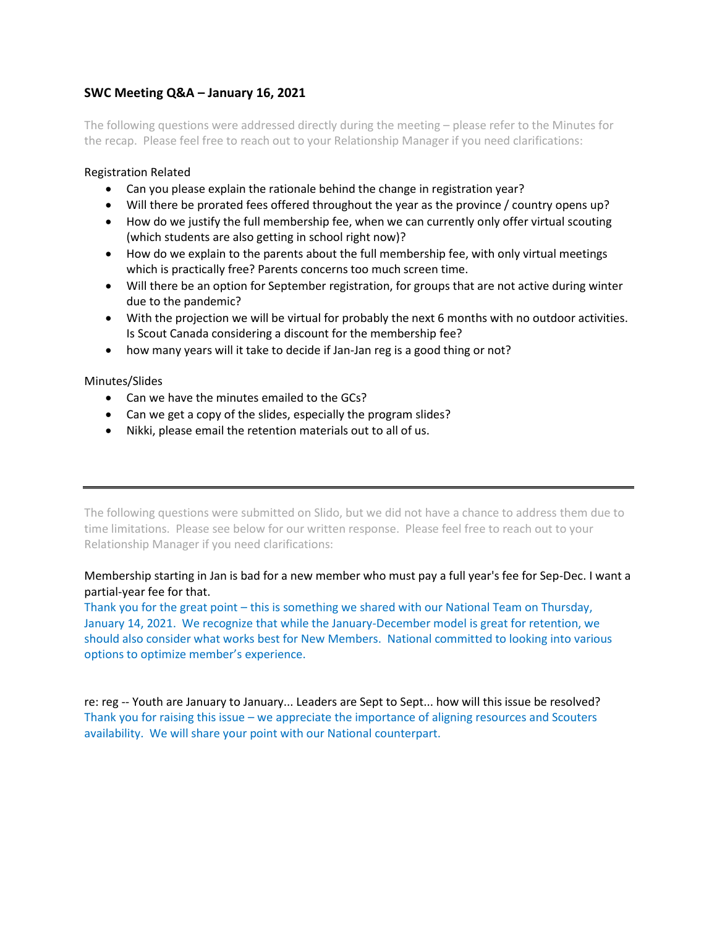# **SWC Meeting Q&A – January 16, 2021**

The following questions were addressed directly during the meeting – please refer to the Minutes for the recap. Please feel free to reach out to your Relationship Manager if you need clarifications:

### Registration Related

- Can you please explain the rationale behind the change in registration year?
- Will there be prorated fees offered throughout the year as the province / country opens up?
- How do we justify the full membership fee, when we can currently only offer virtual scouting (which students are also getting in school right now)?
- How do we explain to the parents about the full membership fee, with only virtual meetings which is practically free? Parents concerns too much screen time.
- Will there be an option for September registration, for groups that are not active during winter due to the pandemic?
- With the projection we will be virtual for probably the next 6 months with no outdoor activities. Is Scout Canada considering a discount for the membership fee?
- how many years will it take to decide if Jan-Jan reg is a good thing or not?

## Minutes/Slides

- Can we have the minutes emailed to the GCs?
- Can we get a copy of the slides, especially the program slides?
- Nikki, please email the retention materials out to all of us.

The following questions were submitted on Slido, but we did not have a chance to address them due to time limitations. Please see below for our written response. Please feel free to reach out to your Relationship Manager if you need clarifications:

## Membership starting in Jan is bad for a new member who must pay a full year's fee for Sep-Dec. I want a partial-year fee for that.

Thank you for the great point – this is something we shared with our National Team on Thursday, January 14, 2021. We recognize that while the January-December model is great for retention, we should also consider what works best for New Members. National committed to looking into various options to optimize member's experience.

re: reg -- Youth are January to January... Leaders are Sept to Sept... how will this issue be resolved? Thank you for raising this issue – we appreciate the importance of aligning resources and Scouters availability. We will share your point with our National counterpart.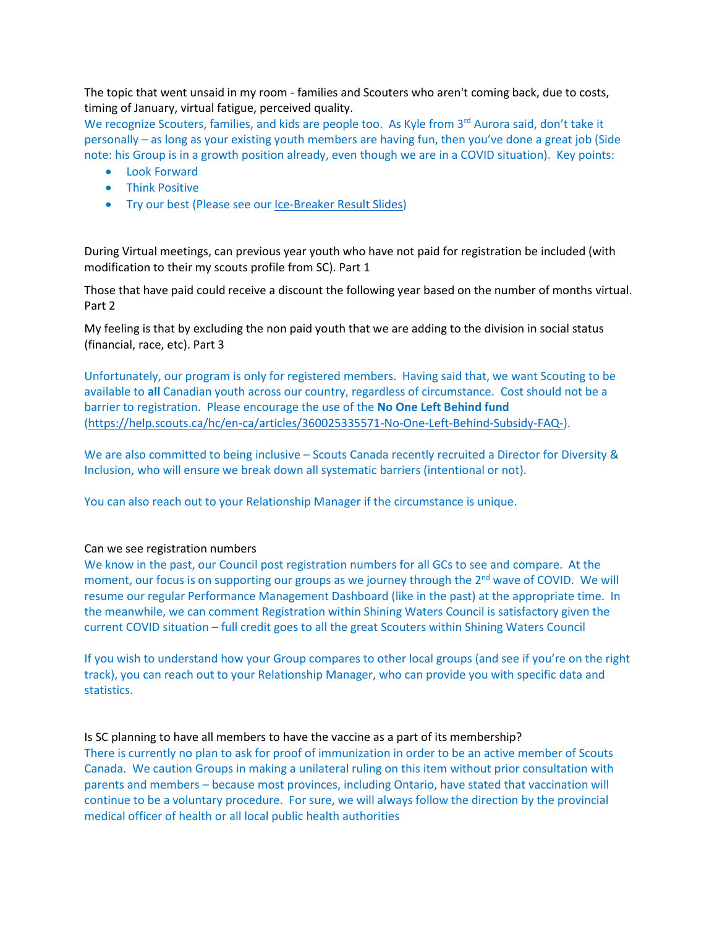The topic that went unsaid in my room - families and Scouters who aren't coming back, due to costs, timing of January, virtual fatigue, perceived quality.

We recognize Scouters, families, and kids are people too. As Kyle from 3rd Aurora said, don't take it personally – as long as your existing youth members are having fun, then you've done a great job (Side note: his Group is in a growth position already, even though we are in a COVID situation). Key points:

- Look Forward
- Think Positive
- Try our best (Please see ou[r Ice-Breaker Result](https://www.scouts.ca/assets/uploads/councils/shiningwaters/council_meetings/2021-01-16/Ice%20Breaker%20Response%20-%20Jan%2016,%202021.pdf) Slides)

During Virtual meetings, can previous year youth who have not paid for registration be included (with modification to their my scouts profile from SC). Part 1

Those that have paid could receive a discount the following year based on the number of months virtual. Part 2

My feeling is that by excluding the non paid youth that we are adding to the division in social status (financial, race, etc). Part 3

Unfortunately, our program is only for registered members. Having said that, we want Scouting to be available to **all** Canadian youth across our country, regardless of circumstance. Cost should not be a barrier to registration. Please encourage the use of the **No One Left Behind fund** [\(https://help.scouts.ca/hc/en-ca/articles/360025335571-No-One-Left-Behind-Subsidy-FAQ-\)](https://help.scouts.ca/hc/en-ca/articles/360025335571-No-One-Left-Behind-Subsidy-FAQ-).

We are also committed to being inclusive – Scouts Canada recently recruited a Director for Diversity & Inclusion, who will ensure we break down all systematic barriers (intentional or not).

You can also reach out to your Relationship Manager if the circumstance is unique.

#### Can we see registration numbers

We know in the past, our Council post registration numbers for all GCs to see and compare. At the moment, our focus is on supporting our groups as we journey through the 2<sup>nd</sup> wave of COVID. We will resume our regular Performance Management Dashboard (like in the past) at the appropriate time. In the meanwhile, we can comment Registration within Shining Waters Council is satisfactory given the current COVID situation – full credit goes to all the great Scouters within Shining Waters Council

If you wish to understand how your Group compares to other local groups (and see if you're on the right track), you can reach out to your Relationship Manager, who can provide you with specific data and statistics.

#### Is SC planning to have all members to have the vaccine as a part of its membership?

There is currently no plan to ask for proof of immunization in order to be an active member of Scouts Canada. We caution Groups in making a unilateral ruling on this item without prior consultation with parents and members – because most provinces, including Ontario, have stated that vaccination will continue to be a voluntary procedure. For sure, we will always follow the direction by the provincial medical officer of health or all local public health authorities